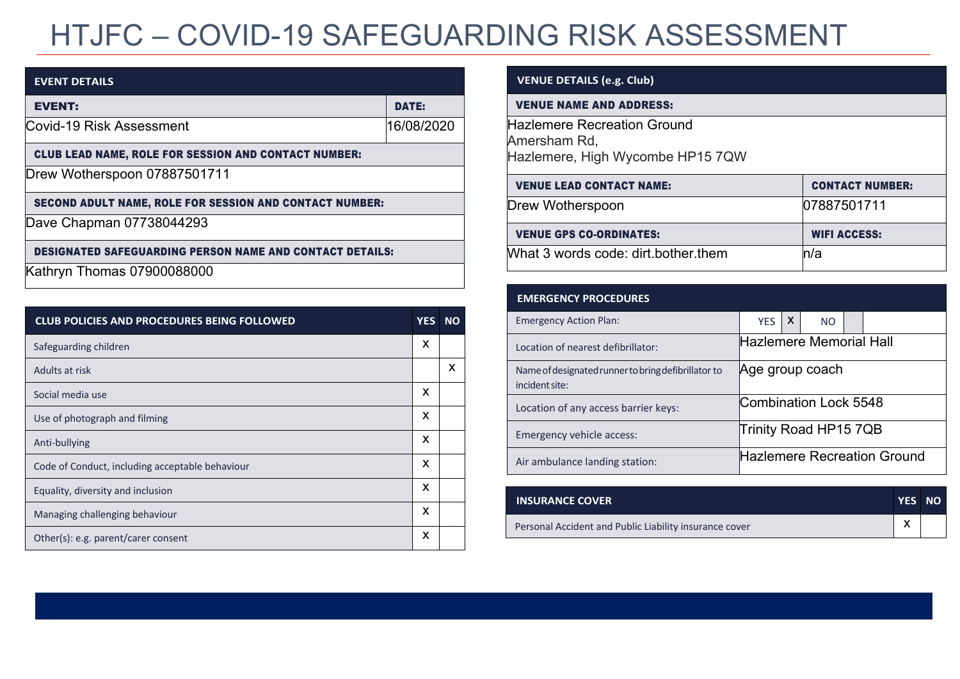# HTJFC – COVID-19 SAFEGUARDING RISK ASSESSMENT

| <b>EVENT DETAILS</b>                                            |              |
|-----------------------------------------------------------------|--------------|
| <b>EVENT:</b>                                                   | <b>DATE:</b> |
| Covid-19 Risk Assessment                                        | 16/08/2020   |
| <b>CLUB LEAD NAME, ROLE FOR SESSION AND CONTACT NUMBER:</b>     |              |
| Drew Wotherspoon 07887501711                                    |              |
| SECOND ADULT NAME, ROLE FOR SESSION AND CONTACT NUMBER:         |              |
| Dave Chapman 07738044293                                        |              |
| <b>DESIGNATED SAFEGUARDING PERSON NAME AND CONTACT DETAILS:</b> |              |
| Kathryn Thomas 07900088000                                      |              |

| <b>CLUB POLICIES AND PROCEDURES BEING FOLLOWED</b> | <b>YES</b> | <b>NO</b> |
|----------------------------------------------------|------------|-----------|
| Safeguarding children                              | X          |           |
| Adults at risk                                     |            | X         |
| Social media use                                   | x          |           |
| Use of photograph and filming                      | X          |           |
| Anti-bullying                                      | X          |           |
| Code of Conduct, including acceptable behaviour    | X          |           |
| Equality, diversity and inclusion                  | X          |           |
| Managing challenging behaviour                     | X          |           |
| Other(s): e.g. parent/carer consent                | X          |           |

### **VENUE DETAILS (e.g. Club)**

#### VENUE NAME AND ADDRESS:

Hazlemere Recreation Ground Amersham Rd, Hazlemere, High Wycombe HP15 7QW

| <b>VENUE LEAD CONTACT NAME:</b>     | <b>CONTACT NUMBER:</b> |
|-------------------------------------|------------------------|
| Drew Wotherspoon                    | 07887501711            |
| <b>VENUE GPS CO-ORDINATES:</b>      | <b>WIFI ACCESS:</b>    |
| What 3 words code: dirt.bother.them | n/a                    |

| <b>EMERGENCY PROCEDURES</b>                                           |                                    |              |           |  |  |
|-----------------------------------------------------------------------|------------------------------------|--------------|-----------|--|--|
| <b>Emergency Action Plan:</b>                                         | <b>YES</b>                         | $\mathsf{X}$ | <b>NO</b> |  |  |
| Location of nearest defibrillator:                                    | Hazlemere Memorial Hall            |              |           |  |  |
| Name of designated runner to bring defibrillator to<br>incident site: | Age group coach                    |              |           |  |  |
| Location of any access barrier keys:                                  | Combination Lock 5548              |              |           |  |  |
| Emergency vehicle access:                                             | Trinity Road HP15 7QB              |              |           |  |  |
| Air ambulance landing station:                                        | <b>Hazlemere Recreation Ground</b> |              |           |  |  |

| <b>INSURANCE COVER</b>                                 | YES NO |  |
|--------------------------------------------------------|--------|--|
| Personal Accident and Public Liability insurance cover |        |  |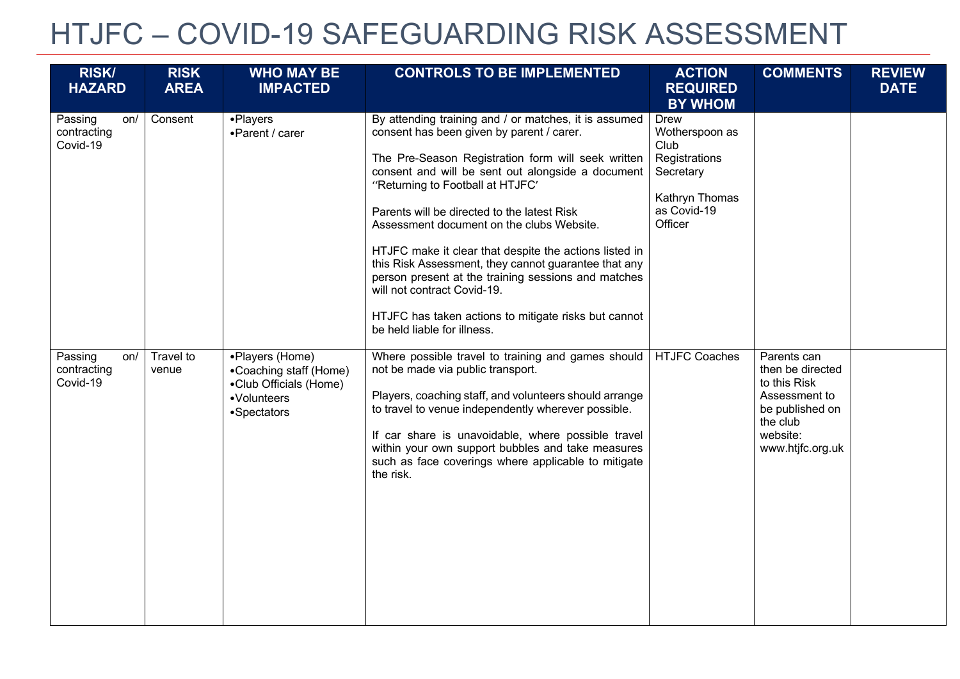## HTJFC – COVID-19 SAFEGUARDING RISK ASSESSMENT

| <b>RISK/</b>                              | <b>RISK</b>        | <b>WHO MAY BE</b>                                                                                 | <b>CONTROLS TO BE IMPLEMENTED</b>                                                                                                                                                                                                                                                                                                                                                                                                                                                                                                                                                                                                            | <b>ACTION</b>                                                                                                   | <b>COMMENTS</b>                                                                                                                 | <b>REVIEW</b> |
|-------------------------------------------|--------------------|---------------------------------------------------------------------------------------------------|----------------------------------------------------------------------------------------------------------------------------------------------------------------------------------------------------------------------------------------------------------------------------------------------------------------------------------------------------------------------------------------------------------------------------------------------------------------------------------------------------------------------------------------------------------------------------------------------------------------------------------------------|-----------------------------------------------------------------------------------------------------------------|---------------------------------------------------------------------------------------------------------------------------------|---------------|
| <b>HAZARD</b>                             | <b>AREA</b>        | <b>IMPACTED</b>                                                                                   |                                                                                                                                                                                                                                                                                                                                                                                                                                                                                                                                                                                                                                              | <b>REQUIRED</b><br><b>BY WHOM</b>                                                                               |                                                                                                                                 | <b>DATE</b>   |
| Passing<br>on/<br>contracting<br>Covid-19 | Consent            | •Players<br>•Parent / carer                                                                       | By attending training and / or matches, it is assumed<br>consent has been given by parent / carer.<br>The Pre-Season Registration form will seek written<br>consent and will be sent out alongside a document<br>"Returning to Football at HTJFC"<br>Parents will be directed to the latest Risk<br>Assessment document on the clubs Website.<br>HTJFC make it clear that despite the actions listed in<br>this Risk Assessment, they cannot guarantee that any<br>person present at the training sessions and matches<br>will not contract Covid-19.<br>HTJFC has taken actions to mitigate risks but cannot<br>be held liable for illness. | <b>Drew</b><br>Wotherspoon as<br>Club<br>Registrations<br>Secretary<br>Kathryn Thomas<br>as Covid-19<br>Officer |                                                                                                                                 |               |
| Passing<br>on/<br>contracting<br>Covid-19 | Travel to<br>venue | •Players (Home)<br>•Coaching staff (Home)<br>•Club Officials (Home)<br>•Volunteers<br>•Spectators | Where possible travel to training and games should<br>not be made via public transport.<br>Players, coaching staff, and volunteers should arrange<br>to travel to venue independently wherever possible.<br>If car share is unavoidable, where possible travel<br>within your own support bubbles and take measures<br>such as face coverings where applicable to mitigate<br>the risk.                                                                                                                                                                                                                                                      | <b>HTJFC Coaches</b>                                                                                            | Parents can<br>then be directed<br>to this Risk<br>Assessment to<br>be published on<br>the club<br>website:<br>www.htjfc.org.uk |               |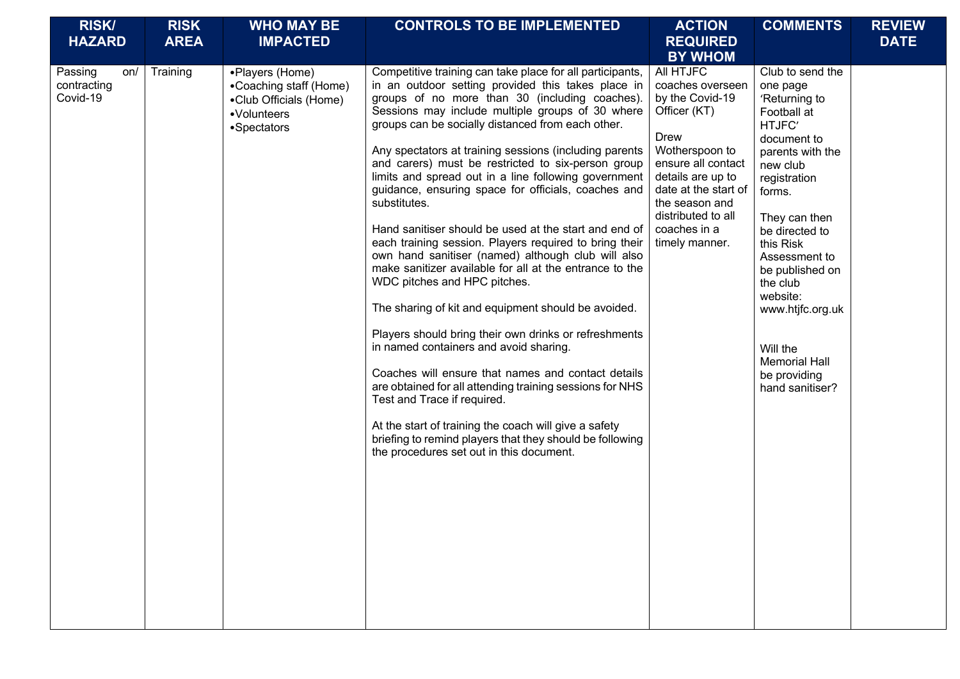| <b>RISK/</b><br><b>HAZARD</b>             | <b>RISK</b><br><b>AREA</b> | <b>WHO MAY BE</b><br><b>IMPACTED</b>                                                              | <b>CONTROLS TO BE IMPLEMENTED</b>                                                                                                                                                                                                                                                                                                                                                                                                                                                                                                                                                                                                                                                                                                                                                                                                                                                                                                                                                                                                                                                                                                                                                                                                                                         | <b>ACTION</b><br><b>REQUIRED</b><br><b>BY WHOM</b>                                                                                                                                                                                             | <b>COMMENTS</b>                                                                                                                                                                                                                                                                                                                                        | <b>REVIEW</b><br><b>DATE</b> |
|-------------------------------------------|----------------------------|---------------------------------------------------------------------------------------------------|---------------------------------------------------------------------------------------------------------------------------------------------------------------------------------------------------------------------------------------------------------------------------------------------------------------------------------------------------------------------------------------------------------------------------------------------------------------------------------------------------------------------------------------------------------------------------------------------------------------------------------------------------------------------------------------------------------------------------------------------------------------------------------------------------------------------------------------------------------------------------------------------------------------------------------------------------------------------------------------------------------------------------------------------------------------------------------------------------------------------------------------------------------------------------------------------------------------------------------------------------------------------------|------------------------------------------------------------------------------------------------------------------------------------------------------------------------------------------------------------------------------------------------|--------------------------------------------------------------------------------------------------------------------------------------------------------------------------------------------------------------------------------------------------------------------------------------------------------------------------------------------------------|------------------------------|
| Passing<br>on/<br>contracting<br>Covid-19 | Training                   | •Players (Home)<br>•Coaching staff (Home)<br>•Club Officials (Home)<br>•Volunteers<br>•Spectators | Competitive training can take place for all participants,<br>in an outdoor setting provided this takes place in<br>groups of no more than 30 (including coaches).<br>Sessions may include multiple groups of 30 where<br>groups can be socially distanced from each other.<br>Any spectators at training sessions (including parents<br>and carers) must be restricted to six-person group<br>limits and spread out in a line following government<br>guidance, ensuring space for officials, coaches and<br>substitutes.<br>Hand sanitiser should be used at the start and end of<br>each training session. Players required to bring their<br>own hand sanitiser (named) although club will also<br>make sanitizer available for all at the entrance to the<br>WDC pitches and HPC pitches.<br>The sharing of kit and equipment should be avoided.<br>Players should bring their own drinks or refreshments<br>in named containers and avoid sharing.<br>Coaches will ensure that names and contact details<br>are obtained for all attending training sessions for NHS<br>Test and Trace if required.<br>At the start of training the coach will give a safety<br>briefing to remind players that they should be following<br>the procedures set out in this document. | All HTJFC<br>coaches overseen<br>by the Covid-19<br>Officer (KT)<br><b>Drew</b><br>Wotherspoon to<br>ensure all contact<br>details are up to<br>date at the start of<br>the season and<br>distributed to all<br>coaches in a<br>timely manner. | Club to send the<br>one page<br>'Returning to<br>Football at<br>HTJFC'<br>document to<br>parents with the<br>new club<br>registration<br>forms.<br>They can then<br>be directed to<br>this Risk<br>Assessment to<br>be published on<br>the club<br>website:<br>www.htjfc.org.uk<br>Will the<br><b>Memorial Hall</b><br>be providing<br>hand sanitiser? |                              |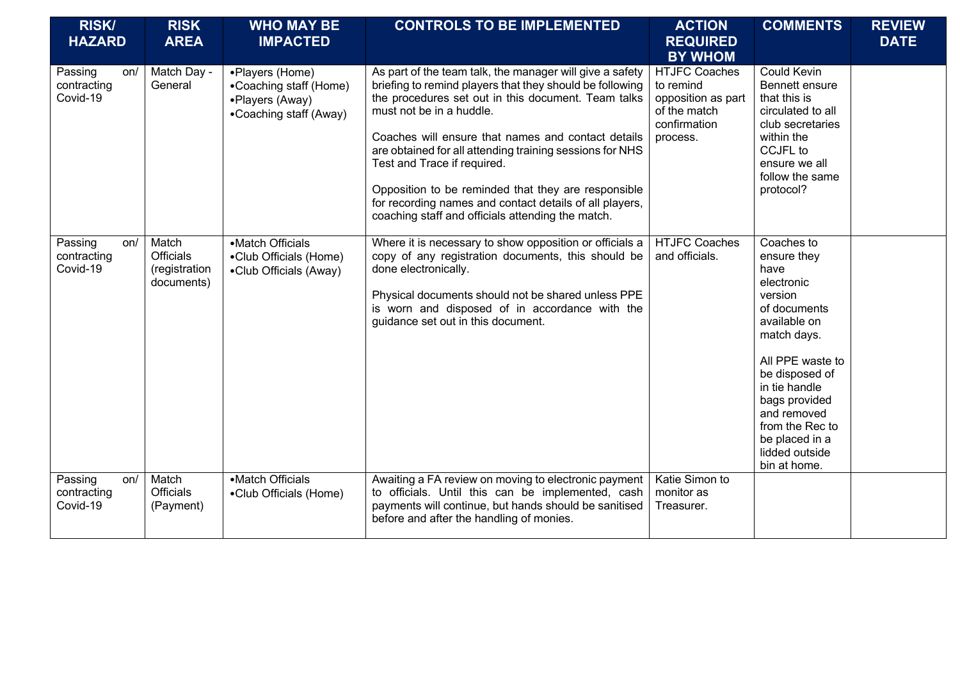| <b>RISK/</b><br><b>HAZARD</b>             | <b>RISK</b><br><b>AREA</b>                               | <b>WHO MAY BE</b><br><b>IMPACTED</b>                                                   | <b>CONTROLS TO BE IMPLEMENTED</b>                                                                                                                                                                                                                                                                                                                                                                                                                                                                                               | <b>ACTION</b><br><b>REQUIRED</b><br><b>BY WHOM</b>                                                  | <b>COMMENTS</b>                                                                                                                                                                                                                                                         | <b>REVIEW</b><br><b>DATE</b> |
|-------------------------------------------|----------------------------------------------------------|----------------------------------------------------------------------------------------|---------------------------------------------------------------------------------------------------------------------------------------------------------------------------------------------------------------------------------------------------------------------------------------------------------------------------------------------------------------------------------------------------------------------------------------------------------------------------------------------------------------------------------|-----------------------------------------------------------------------------------------------------|-------------------------------------------------------------------------------------------------------------------------------------------------------------------------------------------------------------------------------------------------------------------------|------------------------------|
| Passing<br>on/<br>contracting<br>Covid-19 | Match Day -<br>General                                   | •Players (Home)<br>•Coaching staff (Home)<br>•Players (Away)<br>•Coaching staff (Away) | As part of the team talk, the manager will give a safety<br>briefing to remind players that they should be following<br>the procedures set out in this document. Team talks<br>must not be in a huddle.<br>Coaches will ensure that names and contact details<br>are obtained for all attending training sessions for NHS<br>Test and Trace if required.<br>Opposition to be reminded that they are responsible<br>for recording names and contact details of all players,<br>coaching staff and officials attending the match. | <b>HTJFC Coaches</b><br>to remind<br>opposition as part<br>of the match<br>confirmation<br>process. | <b>Could Kevin</b><br>Bennett ensure<br>that this is<br>circulated to all<br>club secretaries<br>within the<br>CCJFL to<br>ensure we all<br>follow the same<br>protocol?                                                                                                |                              |
| Passing<br>on/<br>contracting<br>Covid-19 | Match<br><b>Officials</b><br>(registration<br>documents) | •Match Officials<br>•Club Officials (Home)<br>•Club Officials (Away)                   | Where it is necessary to show opposition or officials a<br>copy of any registration documents, this should be<br>done electronically.<br>Physical documents should not be shared unless PPE<br>is worn and disposed of in accordance with the<br>guidance set out in this document.                                                                                                                                                                                                                                             | <b>HTJFC Coaches</b><br>and officials.                                                              | Coaches to<br>ensure they<br>have<br>electronic<br>version<br>of documents<br>available on<br>match days.<br>All PPE waste to<br>be disposed of<br>in tie handle<br>bags provided<br>and removed<br>from the Rec to<br>be placed in a<br>lidded outside<br>bin at home. |                              |
| Passing<br>on/<br>contracting<br>Covid-19 | Match<br><b>Officials</b><br>(Payment)                   | •Match Officials<br>•Club Officials (Home)                                             | Awaiting a FA review on moving to electronic payment<br>to officials. Until this can be implemented, cash<br>payments will continue, but hands should be sanitised<br>before and after the handling of monies.                                                                                                                                                                                                                                                                                                                  | Katie Simon to<br>monitor as<br>Treasurer.                                                          |                                                                                                                                                                                                                                                                         |                              |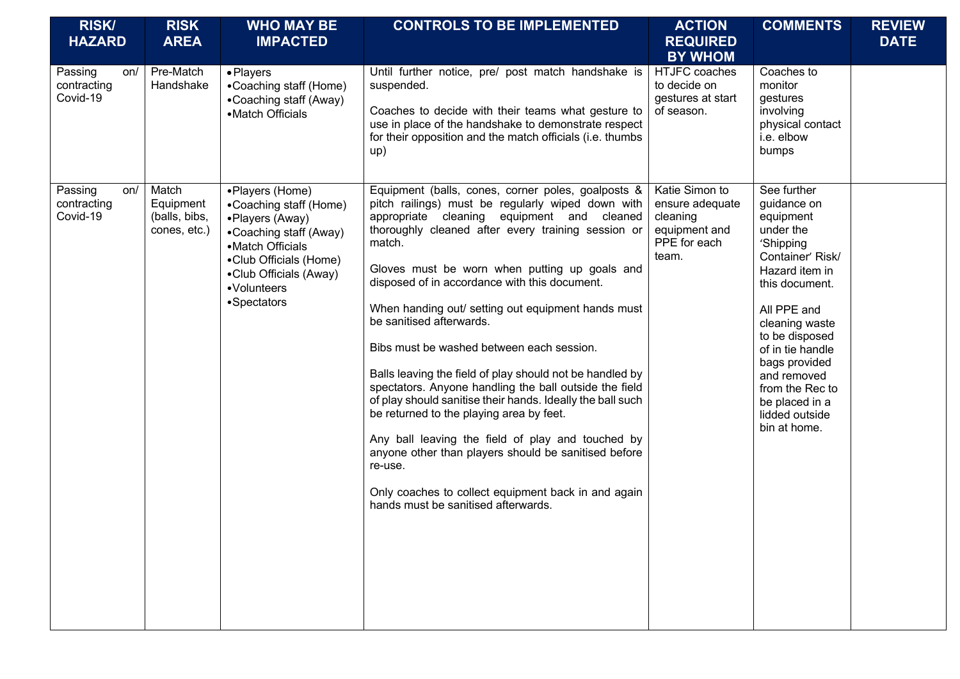| <b>RISK/</b><br><b>HAZARD</b>             | <b>RISK</b><br><b>AREA</b>                          | <b>WHO MAY BE</b><br><b>IMPACTED</b>                                                                                                                                                         | <b>CONTROLS TO BE IMPLEMENTED</b>                                                                                                                                                                                                                                                                                                                                                                                                                                                                                                                                                                                                                                                                                                                                                                                                                                                                            | <b>ACTION</b><br><b>REQUIRED</b><br><b>BY WHOM</b>                                      | <b>COMMENTS</b>                                                                                                                                                                                                                                                                                         | <b>REVIEW</b><br><b>DATE</b> |
|-------------------------------------------|-----------------------------------------------------|----------------------------------------------------------------------------------------------------------------------------------------------------------------------------------------------|--------------------------------------------------------------------------------------------------------------------------------------------------------------------------------------------------------------------------------------------------------------------------------------------------------------------------------------------------------------------------------------------------------------------------------------------------------------------------------------------------------------------------------------------------------------------------------------------------------------------------------------------------------------------------------------------------------------------------------------------------------------------------------------------------------------------------------------------------------------------------------------------------------------|-----------------------------------------------------------------------------------------|---------------------------------------------------------------------------------------------------------------------------------------------------------------------------------------------------------------------------------------------------------------------------------------------------------|------------------------------|
| Passing<br>on/<br>contracting<br>Covid-19 | Pre-Match<br>Handshake                              | • Players<br>•Coaching staff (Home)<br>•Coaching staff (Away)<br>•Match Officials                                                                                                            | Until further notice, pre/ post match handshake is<br>suspended.<br>Coaches to decide with their teams what gesture to<br>use in place of the handshake to demonstrate respect<br>for their opposition and the match officials (i.e. thumbs<br>up)                                                                                                                                                                                                                                                                                                                                                                                                                                                                                                                                                                                                                                                           | HTJFC coaches<br>to decide on<br>gestures at start<br>of season.                        | Coaches to<br>monitor<br>gestures<br>involving<br>physical contact<br>i.e. elbow<br>bumps                                                                                                                                                                                                               |                              |
| Passing<br>on/<br>contracting<br>Covid-19 | Match<br>Equipment<br>(balls, bibs,<br>cones, etc.) | •Players (Home)<br>•Coaching staff (Home)<br>•Players (Away)<br>•Coaching staff (Away)<br>•Match Officials<br>•Club Officials (Home)<br>•Club Officials (Away)<br>•Volunteers<br>•Spectators | Equipment (balls, cones, corner poles, goalposts &<br>pitch railings) must be regularly wiped down with<br>appropriate cleaning equipment and cleaned<br>thoroughly cleaned after every training session or<br>match.<br>Gloves must be worn when putting up goals and<br>disposed of in accordance with this document.<br>When handing out/ setting out equipment hands must<br>be sanitised afterwards.<br>Bibs must be washed between each session.<br>Balls leaving the field of play should not be handled by<br>spectators. Anyone handling the ball outside the field<br>of play should sanitise their hands. Ideally the ball such<br>be returned to the playing area by feet.<br>Any ball leaving the field of play and touched by<br>anyone other than players should be sanitised before<br>re-use.<br>Only coaches to collect equipment back in and again<br>hands must be sanitised afterwards. | Katie Simon to<br>ensure adequate<br>cleaning<br>equipment and<br>PPE for each<br>team. | See further<br>guidance on<br>equipment<br>under the<br>'Shipping<br>Container' Risk/<br>Hazard item in<br>this document.<br>All PPE and<br>cleaning waste<br>to be disposed<br>of in tie handle<br>bags provided<br>and removed<br>from the Rec to<br>be placed in a<br>lidded outside<br>bin at home. |                              |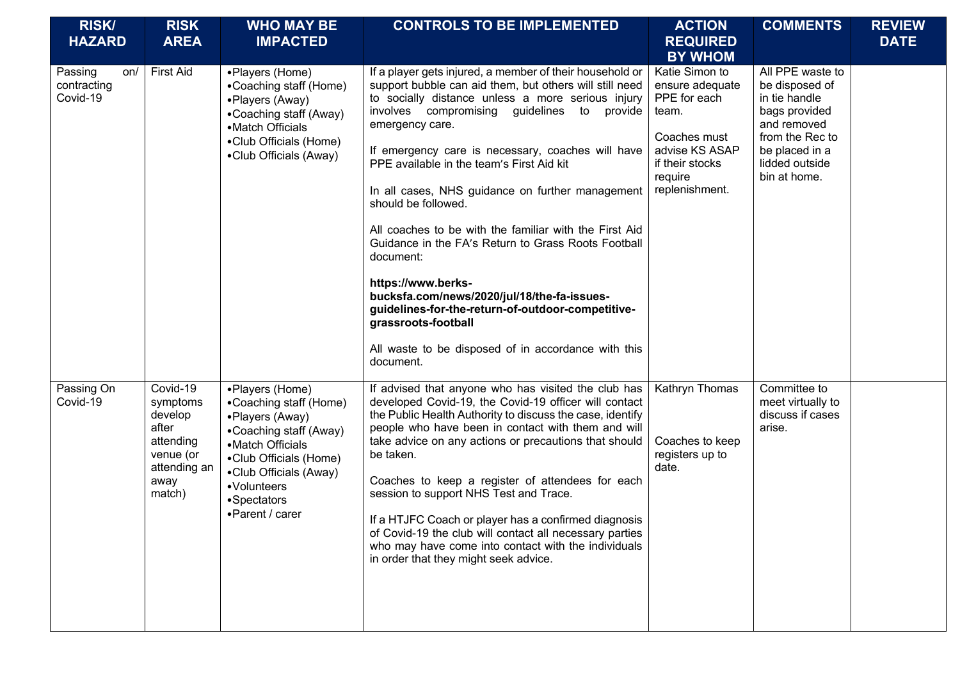| <b>RISK/</b><br><b>HAZARD</b>             | <b>RISK</b><br><b>AREA</b>                                                                           | <b>WHO MAY BE</b><br><b>IMPACTED</b>                                                                                                                                                                            | <b>CONTROLS TO BE IMPLEMENTED</b>                                                                                                                                                                                                                                                                                                                                                                                                                                                                                                                                                                                                                                                                                                                                             | <b>ACTION</b><br><b>REQUIRED</b><br><b>BY WHOM</b>                                                                                           | <b>COMMENTS</b>                                                                                                                                            | <b>REVIEW</b><br><b>DATE</b> |
|-------------------------------------------|------------------------------------------------------------------------------------------------------|-----------------------------------------------------------------------------------------------------------------------------------------------------------------------------------------------------------------|-------------------------------------------------------------------------------------------------------------------------------------------------------------------------------------------------------------------------------------------------------------------------------------------------------------------------------------------------------------------------------------------------------------------------------------------------------------------------------------------------------------------------------------------------------------------------------------------------------------------------------------------------------------------------------------------------------------------------------------------------------------------------------|----------------------------------------------------------------------------------------------------------------------------------------------|------------------------------------------------------------------------------------------------------------------------------------------------------------|------------------------------|
| Passing<br>on/<br>contracting<br>Covid-19 | <b>First Aid</b>                                                                                     | •Players (Home)<br>•Coaching staff (Home)<br>•Players (Away)<br>•Coaching staff (Away)<br>•Match Officials<br>•Club Officials (Home)<br>•Club Officials (Away)                                                  | If a player gets injured, a member of their household or<br>support bubble can aid them, but others will still need<br>to socially distance unless a more serious injury<br>involves compromising guidelines to<br>provide<br>emergency care.<br>If emergency care is necessary, coaches will have<br>PPE available in the team's First Aid kit<br>In all cases, NHS guidance on further management<br>should be followed.<br>All coaches to be with the familiar with the First Aid<br>Guidance in the FA's Return to Grass Roots Football<br>document:<br>https://www.berks-<br>bucksfa.com/news/2020/jul/18/the-fa-issues-<br>guidelines-for-the-return-of-outdoor-competitive-<br>grassroots-football<br>All waste to be disposed of in accordance with this<br>document. | Katie Simon to<br>ensure adequate<br>PPE for each<br>team.<br>Coaches must<br>advise KS ASAP<br>if their stocks<br>require<br>replenishment. | All PPE waste to<br>be disposed of<br>in tie handle<br>bags provided<br>and removed<br>from the Rec to<br>be placed in a<br>lidded outside<br>bin at home. |                              |
| Passing On<br>Covid-19                    | Covid-19<br>symptoms<br>develop<br>after<br>attending<br>venue (or<br>attending an<br>away<br>match) | •Players (Home)<br>•Coaching staff (Home)<br>•Players (Away)<br>•Coaching staff (Away)<br>•Match Officials<br>•Club Officials (Home)<br>•Club Officials (Away)<br>•Volunteers<br>•Spectators<br>•Parent / carer | If advised that anyone who has visited the club has<br>developed Covid-19, the Covid-19 officer will contact<br>the Public Health Authority to discuss the case, identify<br>people who have been in contact with them and will<br>take advice on any actions or precautions that should<br>be taken.<br>Coaches to keep a register of attendees for each<br>session to support NHS Test and Trace.<br>If a HTJFC Coach or player has a confirmed diagnosis<br>of Covid-19 the club will contact all necessary parties<br>who may have come into contact with the individuals<br>in order that they might seek advice.                                                                                                                                                        | Kathryn Thomas<br>Coaches to keep<br>registers up to<br>date.                                                                                | Committee to<br>meet virtually to<br>discuss if cases<br>arise.                                                                                            |                              |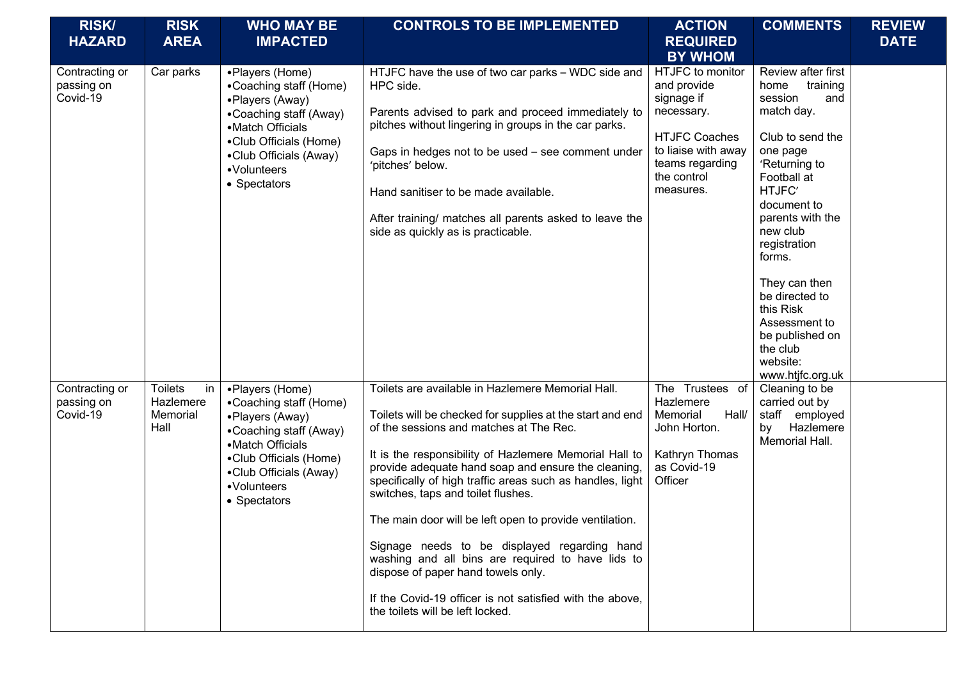| <b>RISK/</b><br><b>HAZARD</b>            | <b>RISK</b><br><b>AREA</b>                            | <b>WHO MAY BE</b><br><b>IMPACTED</b>                                                                                                                                                          | <b>CONTROLS TO BE IMPLEMENTED</b>                                                                                                                                                                                                                                                                                                                                                                                                                                                                                                                                                                                                                                                   | <b>ACTION</b><br><b>REQUIRED</b><br><b>BY WHOM</b>                                                                                                        | <b>COMMENTS</b>                                                                                                                                                                                                                                                                                                                                           | <b>REVIEW</b><br><b>DATE</b> |
|------------------------------------------|-------------------------------------------------------|-----------------------------------------------------------------------------------------------------------------------------------------------------------------------------------------------|-------------------------------------------------------------------------------------------------------------------------------------------------------------------------------------------------------------------------------------------------------------------------------------------------------------------------------------------------------------------------------------------------------------------------------------------------------------------------------------------------------------------------------------------------------------------------------------------------------------------------------------------------------------------------------------|-----------------------------------------------------------------------------------------------------------------------------------------------------------|-----------------------------------------------------------------------------------------------------------------------------------------------------------------------------------------------------------------------------------------------------------------------------------------------------------------------------------------------------------|------------------------------|
| Contracting or<br>passing on<br>Covid-19 | Car parks                                             | •Players (Home)<br>•Coaching staff (Home)<br>•Players (Away)<br>•Coaching staff (Away)<br>•Match Officials<br>•Club Officials (Home)<br>•Club Officials (Away)<br>•Volunteers<br>• Spectators | HTJFC have the use of two car parks - WDC side and<br>HPC side.<br>Parents advised to park and proceed immediately to<br>pitches without lingering in groups in the car parks.<br>Gaps in hedges not to be used - see comment under<br>'pitches' below.<br>Hand sanitiser to be made available.<br>After training/ matches all parents asked to leave the<br>side as quickly as is practicable.                                                                                                                                                                                                                                                                                     | HTJFC to monitor<br>and provide<br>signage if<br>necessary.<br><b>HTJFC Coaches</b><br>to liaise with away<br>teams regarding<br>the control<br>measures. | Review after first<br>home<br>training<br>session<br>and<br>match day.<br>Club to send the<br>one page<br>'Returning to<br>Football at<br>HTJFC'<br>document to<br>parents with the<br>new club<br>registration<br>forms.<br>They can then<br>be directed to<br>this Risk<br>Assessment to<br>be published on<br>the club<br>website:<br>www.htjfc.org.uk |                              |
| Contracting or<br>passing on<br>Covid-19 | <b>Toilets</b><br>in<br>Hazlemere<br>Memorial<br>Hall | •Players (Home)<br>•Coaching staff (Home)<br>•Players (Away)<br>•Coaching staff (Away)<br>•Match Officials<br>•Club Officials (Home)<br>•Club Officials (Away)<br>•Volunteers<br>• Spectators | Toilets are available in Hazlemere Memorial Hall.<br>Toilets will be checked for supplies at the start and end<br>of the sessions and matches at The Rec.<br>It is the responsibility of Hazlemere Memorial Hall to<br>provide adequate hand soap and ensure the cleaning,<br>specifically of high traffic areas such as handles, light<br>switches, taps and toilet flushes.<br>The main door will be left open to provide ventilation.<br>Signage needs to be displayed regarding hand<br>washing and all bins are required to have lids to<br>dispose of paper hand towels only.<br>If the Covid-19 officer is not satisfied with the above,<br>the toilets will be left locked. | The Trustees of<br>Hazlemere<br>Memorial<br>Hall/<br>John Horton.<br>Kathryn Thomas<br>as Covid-19<br>Officer                                             | Cleaning to be<br>carried out by<br>staff employed<br>Hazlemere<br>by<br>Memorial Hall.                                                                                                                                                                                                                                                                   |                              |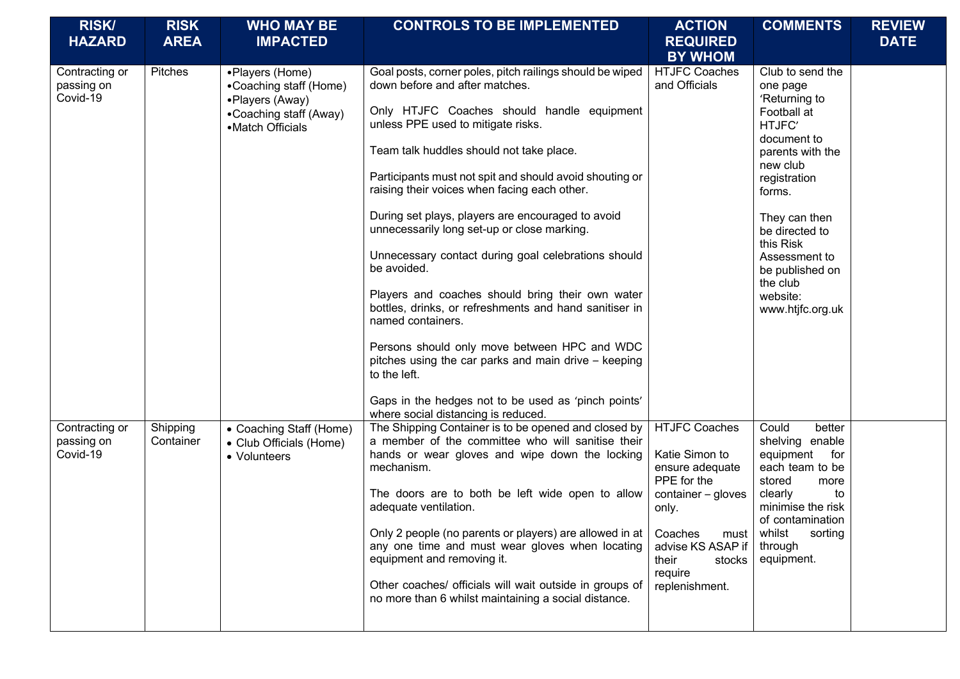| <b>RISK/</b><br><b>HAZARD</b>            | <b>RISK</b><br><b>AREA</b> | <b>WHO MAY BE</b><br><b>IMPACTED</b>                                                                       | <b>CONTROLS TO BE IMPLEMENTED</b>                                                                                                                                                                                                                                                                                                                                                                                                                                                                                                                                                                                                                                                                                                                                                                                                 | <b>ACTION</b><br><b>REQUIRED</b>                                                                                                                                                                  | <b>COMMENTS</b>                                                                                                                                                                                                                                                                 | <b>REVIEW</b><br><b>DATE</b> |
|------------------------------------------|----------------------------|------------------------------------------------------------------------------------------------------------|-----------------------------------------------------------------------------------------------------------------------------------------------------------------------------------------------------------------------------------------------------------------------------------------------------------------------------------------------------------------------------------------------------------------------------------------------------------------------------------------------------------------------------------------------------------------------------------------------------------------------------------------------------------------------------------------------------------------------------------------------------------------------------------------------------------------------------------|---------------------------------------------------------------------------------------------------------------------------------------------------------------------------------------------------|---------------------------------------------------------------------------------------------------------------------------------------------------------------------------------------------------------------------------------------------------------------------------------|------------------------------|
|                                          |                            |                                                                                                            |                                                                                                                                                                                                                                                                                                                                                                                                                                                                                                                                                                                                                                                                                                                                                                                                                                   | <b>BY WHOM</b>                                                                                                                                                                                    |                                                                                                                                                                                                                                                                                 |                              |
| Contracting or<br>passing on<br>Covid-19 | Pitches                    | •Players (Home)<br>•Coaching staff (Home)<br>•Players (Away)<br>•Coaching staff (Away)<br>•Match Officials | Goal posts, corner poles, pitch railings should be wiped<br>down before and after matches.<br>Only HTJFC Coaches should handle equipment<br>unless PPE used to mitigate risks.<br>Team talk huddles should not take place.<br>Participants must not spit and should avoid shouting or<br>raising their voices when facing each other.<br>During set plays, players are encouraged to avoid<br>unnecessarily long set-up or close marking.<br>Unnecessary contact during goal celebrations should<br>be avoided.<br>Players and coaches should bring their own water<br>bottles, drinks, or refreshments and hand sanitiser in<br>named containers.<br>Persons should only move between HPC and WDC<br>pitches using the car parks and main drive - keeping<br>to the left.<br>Gaps in the hedges not to be used as 'pinch points' | <b>HTJFC Coaches</b><br>and Officials                                                                                                                                                             | Club to send the<br>one page<br>'Returning to<br>Football at<br>HTJFC'<br>document to<br>parents with the<br>new club<br>registration<br>forms.<br>They can then<br>be directed to<br>this Risk<br>Assessment to<br>be published on<br>the club<br>website:<br>www.htjfc.org.uk |                              |
|                                          |                            |                                                                                                            | where social distancing is reduced.                                                                                                                                                                                                                                                                                                                                                                                                                                                                                                                                                                                                                                                                                                                                                                                               |                                                                                                                                                                                                   |                                                                                                                                                                                                                                                                                 |                              |
| Contracting or<br>passing on<br>Covid-19 | Shipping<br>Container      | • Coaching Staff (Home)<br>• Club Officials (Home)<br>• Volunteers                                         | The Shipping Container is to be opened and closed by<br>a member of the committee who will sanitise their<br>hands or wear gloves and wipe down the locking<br>mechanism.<br>The doors are to both be left wide open to allow<br>adequate ventilation.<br>Only 2 people (no parents or players) are allowed in at<br>any one time and must wear gloves when locating<br>equipment and removing it.<br>Other coaches/ officials will wait outside in groups of<br>no more than 6 whilst maintaining a social distance.                                                                                                                                                                                                                                                                                                             | <b>HTJFC Coaches</b><br>Katie Simon to<br>ensure adequate<br>PPE for the<br>container - gloves<br>only.<br>Coaches<br>must  <br>advise KS ASAP if<br>their<br>stocks<br>require<br>replenishment. | Could<br>better<br>shelving enable<br>equipment<br>for<br>each team to be<br>stored<br>more<br>clearly<br>to<br>minimise the risk<br>of contamination<br>whilst<br>sorting<br>through<br>equipment.                                                                             |                              |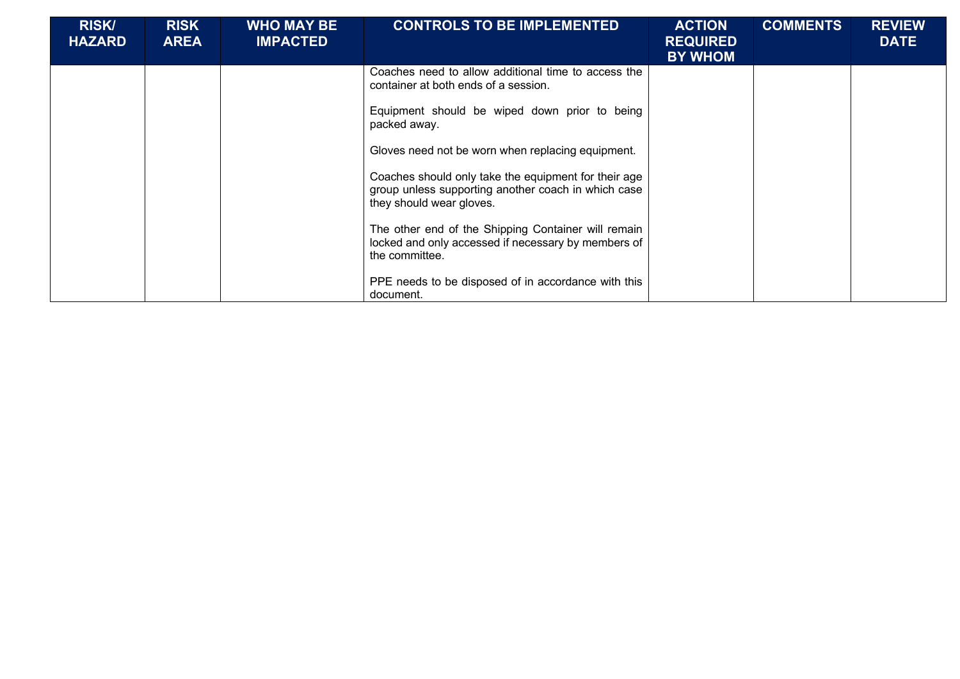| <b>RISK/</b><br><b>HAZARD</b> | <b>RISK</b><br><b>AREA</b> | <b>WHO MAY BE</b><br><b>IMPACTED</b> | <b>CONTROLS TO BE IMPLEMENTED</b>                                                                                                                                                                                                                                                                                                                                                                                                                                                            | <b>ACTION</b><br><b>REQUIRED</b><br><b>BY WHOM</b> | <b>COMMENTS</b> | <b>REVIEW</b><br><b>DATE</b> |
|-------------------------------|----------------------------|--------------------------------------|----------------------------------------------------------------------------------------------------------------------------------------------------------------------------------------------------------------------------------------------------------------------------------------------------------------------------------------------------------------------------------------------------------------------------------------------------------------------------------------------|----------------------------------------------------|-----------------|------------------------------|
|                               |                            |                                      | Coaches need to allow additional time to access the<br>container at both ends of a session.<br>Equipment should be wiped down prior to being<br>packed away.<br>Gloves need not be worn when replacing equipment.<br>Coaches should only take the equipment for their age<br>group unless supporting another coach in which case<br>they should wear gloves.<br>The other end of the Shipping Container will remain<br>locked and only accessed if necessary by members of<br>the committee. |                                                    |                 |                              |
|                               |                            |                                      | PPE needs to be disposed of in accordance with this<br>document.                                                                                                                                                                                                                                                                                                                                                                                                                             |                                                    |                 |                              |